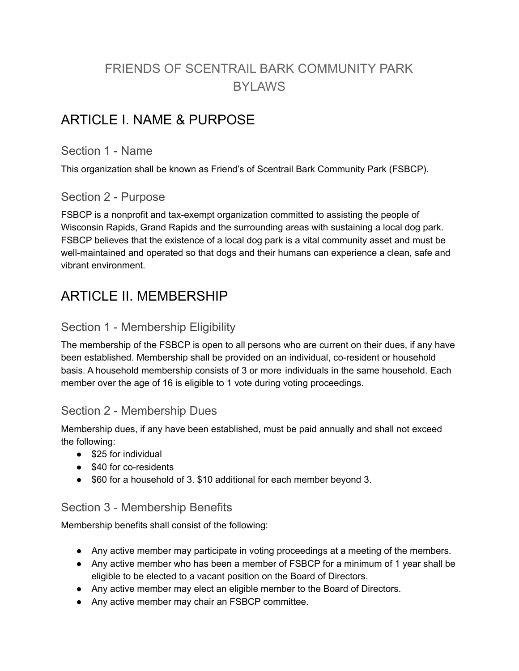# FRIENDS OF SCENTRAIL BARK COMMUNITY PARK BYLAWS

## ARTICLE I. NAME & PURPOSE

#### Section 1 - Name

This organization shall be known as Friend's of Scentrail Bark Community Park (FSBCP).

## Section 2 - Purpose

FSBCP is a nonprofit and tax-exempt organization committed to assisting the people of Wisconsin Rapids, Grand Rapids and the surrounding areas with sustaining a local dog park. FSBCP believes that the existence of a local dog park is a vital community asset and must be well-maintained and operated so that dogs and their humans can experience a clean, safe and vibrant environment.

## ARTICLE II. MEMBERSHIP

## Section 1 - Membership Eligibility

The membership of the FSBCP is open to all persons who are current on their dues, if any have been established. Membership shall be provided on an individual, co-resident or household basis. A household membership consists of 3 or more individuals in the same household. Each member over the age of 16 is eligible to 1 vote during voting proceedings.

### Section 2 - Membership Dues

Membership dues, if any have been established, must be paid annually and shall not exceed the following:

- \$25 for individual
- \$40 for co-residents
- \$60 for a household of 3. \$10 additional for each member beyond 3.

### Section 3 - Membership Benefits

Membership benefits shall consist of the following:

- Any active member may participate in voting proceedings at a meeting of the members.
- Any active member who has been a member of FSBCP for a minimum of 1 year shall be eligible to be elected to a vacant position on the Board of Directors.
- Any active member may elect an eligible member to the Board of Directors.
- Any active member may chair an FSBCP committee.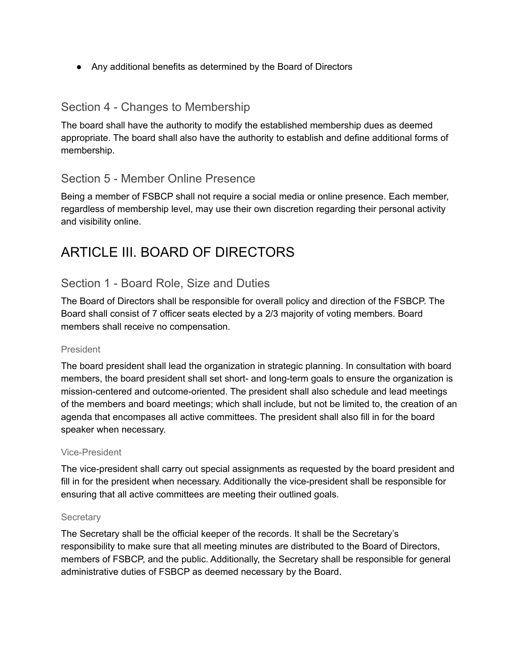● Any additional benefits as determined by the Board of Directors

### Section 4 - Changes to Membership

The board shall have the authority to modify the established membership dues as deemed appropriate. The board shall also have the authority to establish and define additional forms of membership.

## Section 5 - Member Online Presence

Being a member of FSBCP shall not require a social media or online presence. Each member, regardless of membership level, may use their own discretion regarding their personal activity and visibility online.

# ARTICLE III. BOARD OF DIRECTORS

## Section 1 - Board Role, Size and Duties

The Board of Directors shall be responsible for overall policy and direction of the FSBCP. The Board shall consist of 7 officer seats elected by a 2/3 majority of voting members. Board members shall receive no compensation.

#### President

The board president shall lead the organization in strategic planning. In consultation with board members, the board president shall set short- and long-term goals to ensure the organization is mission-centered and outcome-oriented. The president shall also schedule and lead meetings of the members and board meetings; which shall include, but not be limited to, the creation of an agenda that encompases all active committees. The president shall also fill in for the board speaker when necessary.

#### Vice-President

The vice-president shall carry out special assignments as requested by the board president and fill in for the president when necessary. Additionally the vice-president shall be responsible for ensuring that all active committees are meeting their outlined goals.

#### **Secretary**

The Secretary shall be the official keeper of the records. It shall be the Secretary's responsibility to make sure that all meeting minutes are distributed to the Board of Directors, members of FSBCP, and the public. Additionally, the Secretary shall be responsible for general administrative duties of FSBCP as deemed necessary by the Board.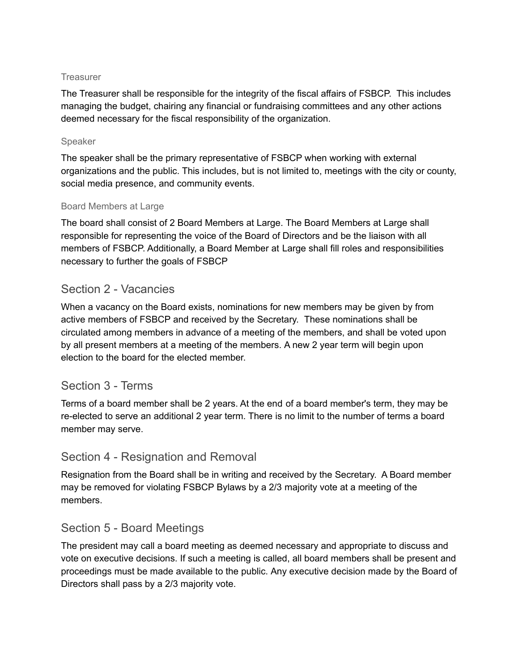#### **Treasurer**

The Treasurer shall be responsible for the integrity of the fiscal affairs of FSBCP. This includes managing the budget, chairing any financial or fundraising committees and any other actions deemed necessary for the fiscal responsibility of the organization.

#### Speaker

The speaker shall be the primary representative of FSBCP when working with external organizations and the public. This includes, but is not limited to, meetings with the city or county, social media presence, and community events.

#### Board Members at Large

The board shall consist of 2 Board Members at Large. The Board Members at Large shall responsible for representing the voice of the Board of Directors and be the liaison with all members of FSBCP. Additionally, a Board Member at Large shall fill roles and responsibilities necessary to further the goals of FSBCP

#### Section 2 - Vacancies

When a vacancy on the Board exists, nominations for new members may be given by from active members of FSBCP and received by the Secretary. These nominations shall be circulated among members in advance of a meeting of the members, and shall be voted upon by all present members at a meeting of the members. A new 2 year term will begin upon election to the board for the elected member.

### Section 3 - Terms

Terms of a board member shall be 2 years. At the end of a board member's term, they may be re-elected to serve an additional 2 year term. There is no limit to the number of terms a board member may serve.

#### Section 4 - Resignation and Removal

Resignation from the Board shall be in writing and received by the Secretary. A Board member may be removed for violating FSBCP Bylaws by a 2/3 majority vote at a meeting of the members.

### Section 5 - Board Meetings

The president may call a board meeting as deemed necessary and appropriate to discuss and vote on executive decisions. If such a meeting is called, all board members shall be present and proceedings must be made available to the public. Any executive decision made by the Board of Directors shall pass by a 2/3 majority vote.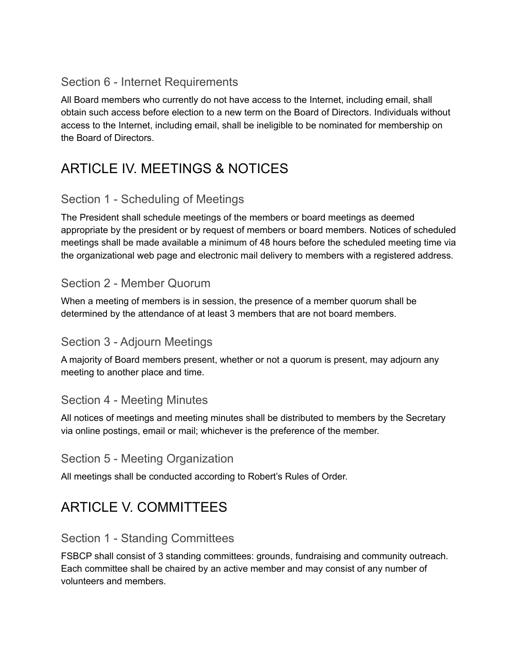### Section 6 - Internet Requirements

All Board members who currently do not have access to the Internet, including email, shall obtain such access before election to a new term on the Board of Directors. Individuals without access to the Internet, including email, shall be ineligible to be nominated for membership on the Board of Directors.

# ARTICLE IV. MEETINGS & NOTICES

## Section 1 - Scheduling of Meetings

The President shall schedule meetings of the members or board meetings as deemed appropriate by the president or by request of members or board members. Notices of scheduled meetings shall be made available a minimum of 48 hours before the scheduled meeting time via the organizational web page and electronic mail delivery to members with a registered address.

### Section 2 - Member Quorum

When a meeting of members is in session, the presence of a member quorum shall be determined by the attendance of at least 3 members that are not board members.

### Section 3 - Adjourn Meetings

A majority of Board members present, whether or not a quorum is present, may adjourn any meeting to another place and time.

## Section 4 - Meeting Minutes

All notices of meetings and meeting minutes shall be distributed to members by the Secretary via online postings, email or mail; whichever is the preference of the member.

## Section 5 - Meeting Organization

All meetings shall be conducted according to Robert's Rules of Order.

# ARTICLE V. COMMITTEES

## Section 1 - Standing Committees

FSBCP shall consist of 3 standing committees: grounds, fundraising and community outreach. Each committee shall be chaired by an active member and may consist of any number of volunteers and members.